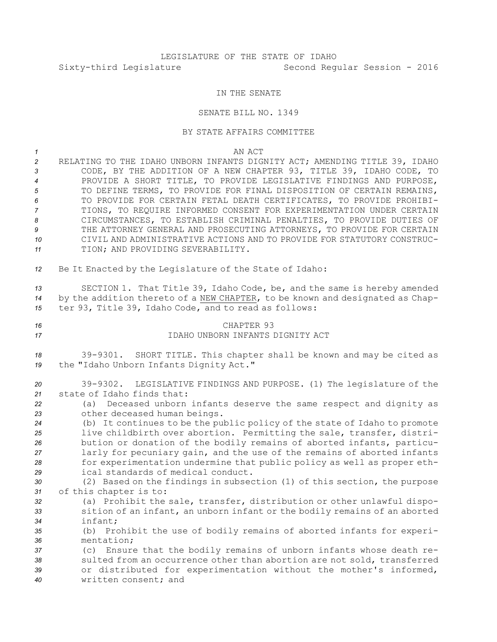## LEGISLATURE OF THE STATE OF IDAHO Sixty-third Legislature Second Regular Session - 2016

## IN THE SENATE

## SENATE BILL NO. 1349

## BY STATE AFFAIRS COMMITTEE

*1* AN ACT RELATING TO THE IDAHO UNBORN INFANTS DIGNITY ACT; AMENDING TITLE 39, IDAHO CODE, BY THE ADDITION OF A NEW CHAPTER 93, TITLE 39, IDAHO CODE, TO PROVIDE A SHORT TITLE, TO PROVIDE LEGISLATIVE FINDINGS AND PURPOSE, TO DEFINE TERMS, TO PROVIDE FOR FINAL DISPOSITION OF CERTAIN REMAINS, TO PROVIDE FOR CERTAIN FETAL DEATH CERTIFICATES, TO PROVIDE PROHIBI- TIONS, TO REQUIRE INFORMED CONSENT FOR EXPERIMENTATION UNDER CERTAIN CIRCUMSTANCES, TO ESTABLISH CRIMINAL PENALTIES, TO PROVIDE DUTIES OF THE ATTORNEY GENERAL AND PROSECUTING ATTORNEYS, TO PROVIDE FOR CERTAIN CIVIL AND ADMINISTRATIVE ACTIONS AND TO PROVIDE FOR STATUTORY CONSTRUC- TION; AND PROVIDING SEVERABILITY. Be It Enacted by the Legislature of the State of Idaho: SECTION 1. That Title 39, Idaho Code, be, and the same is hereby amended by the addition thereto of <sup>a</sup> NEW CHAPTER, to be known and designated as Chap- ter 93, Title 39, Idaho Code, and to read as follows: CHAPTER 93 IDAHO UNBORN INFANTS DIGNITY ACT 39-9301. SHORT TITLE. This chapter shall be known and may be cited as the "Idaho Unborn Infants Dignity Act." 39-9302. LEGISLATIVE FINDINGS AND PURPOSE. (1) The legislature of the state of Idaho finds that: (a) Deceased unborn infants deserve the same respect and dignity as other deceased human beings. (b) It continues to be the public policy of the state of Idaho to promote live childbirth over abortion. Permitting the sale, transfer, distri- bution or donation of the bodily remains of aborted infants, particu- larly for pecuniary gain, and the use of the remains of aborted infants for experimentation undermine that public policy as well as proper eth- ical standards of medical conduct. (2) Based on the findings in subsection (1) of this section, the purpose of this chapter is to: (a) Prohibit the sale, transfer, distribution or other unlawful dispo- sition of an infant, an unborn infant or the bodily remains of an aborted *34* infant; (b) Prohibit the use of bodily remains of aborted infants for experi- mentation; (c) Ensure that the bodily remains of unborn infants whose death re- sulted from an occurrence other than abortion are not sold, transferred or distributed for experimentation without the mother's informed, written consent; and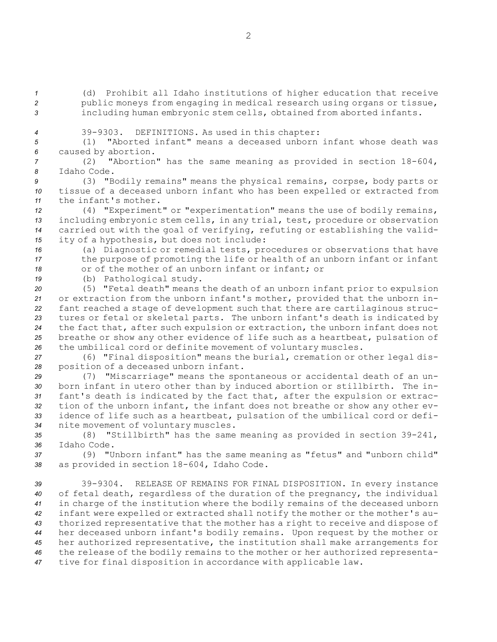*<sup>1</sup>* (d) Prohibit all Idaho institutions of higher education that receive *<sup>2</sup>* public moneys from engaging in medical research using organs or tissue, *<sup>3</sup>* including human embryonic stem cells, obtained from aborted infants.

*<sup>4</sup>* 39-9303. DEFINITIONS. As used in this chapter:

*<sup>5</sup>* (1) "Aborted infant" means <sup>a</sup> deceased unborn infant whose death was *<sup>6</sup>* caused by abortion.

*<sup>7</sup>* (2) "Abortion" has the same meaning as provided in section 18-604, *8* Idaho Code.

*<sup>9</sup>* (3) "Bodily remains" means the physical remains, corpse, body parts or *<sup>10</sup>* tissue of <sup>a</sup> deceased unborn infant who has been expelled or extracted from *11* the infant's mother.

 (4) "Experiment" or "experimentation" means the use of bodily remains, including embryonic stem cells, in any trial, test, procedure or observation carried out with the goal of verifying, refuting or establishing the valid-ity of <sup>a</sup> hypothesis, but does not include:

*<sup>16</sup>* (a) Diagnostic or remedial tests, procedures or observations that have *<sup>17</sup>* the purpose of promoting the life or health of an unborn infant or infant 18 or of the mother of an unborn infant or infant; or

*<sup>19</sup>* (b) Pathological study.

 (5) "Fetal death" means the death of an unborn infant prior to expulsion or extraction from the unborn infant's mother, provided that the unborn in- fant reached <sup>a</sup> stage of development such that there are cartilaginous struc- tures or fetal or skeletal parts. The unborn infant's death is indicated by the fact that, after such expulsion or extraction, the unborn infant does not breathe or show any other evidence of life such as <sup>a</sup> heartbeat, pulsation of the umbilical cord or definite movement of voluntary muscles.

*<sup>27</sup>* (6) "Final disposition" means the burial, cremation or other legal dis-*<sup>28</sup>* position of <sup>a</sup> deceased unborn infant.

 (7) "Miscarriage" means the spontaneous or accidental death of an un- born infant in utero other than by induced abortion or stillbirth. The in- fant's death is indicated by the fact that, after the expulsion or extrac- tion of the unborn infant, the infant does not breathe or show any other ev- idence of life such as <sup>a</sup> heartbeat, pulsation of the umbilical cord or defi-nite movement of voluntary muscles.

*<sup>35</sup>* (8) "Stillbirth" has the same meaning as provided in section 39-241, *36* Idaho Code.

*<sup>37</sup>* (9) "Unborn infant" has the same meaning as "fetus" and "unborn child" *<sup>38</sup>* as provided in section 18-604, Idaho Code.

 39-9304. RELEASE OF REMAINS FOR FINAL DISPOSITION. In every instance of fetal death, regardless of the duration of the pregnancy, the individual in charge of the institution where the bodily remains of the deceased unborn infant were expelled or extracted shall notify the mother or the mother's au- thorized representative that the mother has <sup>a</sup> right to receive and dispose of her deceased unborn infant's bodily remains. Upon request by the mother or her authorized representative, the institution shall make arrangements for the release of the bodily remains to the mother or her authorized representa-tive for final disposition in accordance with applicable law.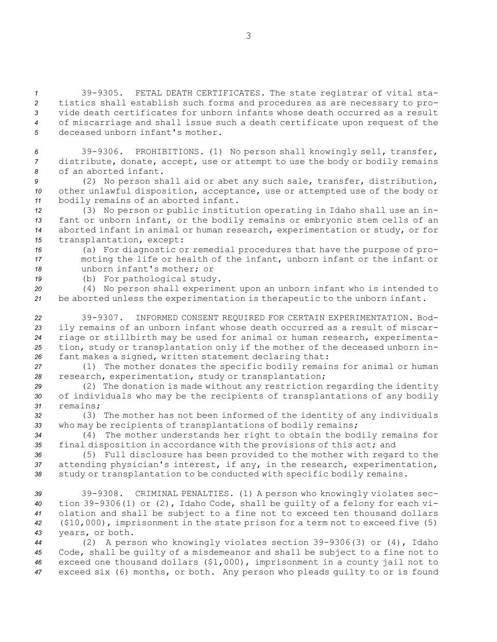39-9305. FETAL DEATH CERTIFICATES. The state registrar of vital sta- tistics shall establish such forms and procedures as are necessary to pro- vide death certificates for unborn infants whose death occurred as <sup>a</sup> result of miscarriage and shall issue such <sup>a</sup> death certificate upon request of the deceased unborn infant's mother.

*<sup>6</sup>* 39-9306. PROHIBITIONS. (1) No person shall knowingly sell, transfer, *<sup>7</sup>* distribute, donate, accept, use or attempt to use the body or bodily remains *8* of an aborted infant.

*<sup>9</sup>* (2) No person shall aid or abet any such sale, transfer, distribution, *<sup>10</sup>* other unlawful disposition, acceptance, use or attempted use of the body or *<sup>11</sup>* bodily remains of an aborted infant.

 (3) No person or public institution operating in Idaho shall use an in- fant or unborn infant, or the bodily remains or embryonic stem cells of an aborted infant in animal or human research, experimentation or study, or for transplantation, except:

*<sup>16</sup>* (a) For diagnostic or remedial procedures that have the purpose of pro-*<sup>17</sup>* moting the life or health of the infant, unborn infant or the infant or *18* unborn infant's mother; or

*<sup>19</sup>* (b) For pathological study.

*<sup>20</sup>* (4) No person shall experiment upon an unborn infant who is intended to *<sup>21</sup>* be aborted unless the experimentation is therapeutic to the unborn infant.

 39-9307. INFORMED CONSENT REQUIRED FOR CERTAIN EXPERIMENTATION. Bod- ily remains of an unborn infant whose death occurred as <sup>a</sup> result of miscar- riage or stillbirth may be used for animal or human research, experimenta- tion, study or transplantation only if the mother of the deceased unborn in-fant makes <sup>a</sup> signed, written statement declaring that:

*<sup>27</sup>* (1) The mother donates the specific bodily remains for animal or human *<sup>28</sup>* research, experimentation, study or transplantation;

*<sup>29</sup>* (2) The donation is made without any restriction regarding the identity *<sup>30</sup>* of individuals who may be the recipients of transplantations of any bodily *31* remains;

*<sup>32</sup>* (3) The mother has not been informed of the identity of any individuals *<sup>33</sup>* who may be recipients of transplantations of bodily remains;

*<sup>34</sup>* (4) The mother understands her right to obtain the bodily remains for *<sup>35</sup>* final disposition in accordance with the provisions of this act; and

*<sup>36</sup>* (5) Full disclosure has been provided to the mother with regard to the *<sup>37</sup>* attending physician's interest, if any, in the research, experimentation, *<sup>38</sup>* study or transplantation to be conducted with specific bodily remains.

 39-9308. CRIMINAL PENALTIES. (1) <sup>A</sup> person who knowingly violates sec- tion 39-9306(1) or (2), Idaho Code, shall be guilty of <sup>a</sup> felony for each vi- olation and shall be subject to <sup>a</sup> fine not to exceed ten thousand dollars (\$10,000), imprisonment in the state prison for <sup>a</sup> term not to exceed five (5) years, or both.

 (2) <sup>A</sup> person who knowingly violates section 39-9306(3) or (4), Idaho Code, shall be guilty of <sup>a</sup> misdemeanor and shall be subject to <sup>a</sup> fine not to exceed one thousand dollars (\$1,000), imprisonment in <sup>a</sup> county jail not to exceed six (6) months, or both. Any person who pleads guilty to or is found